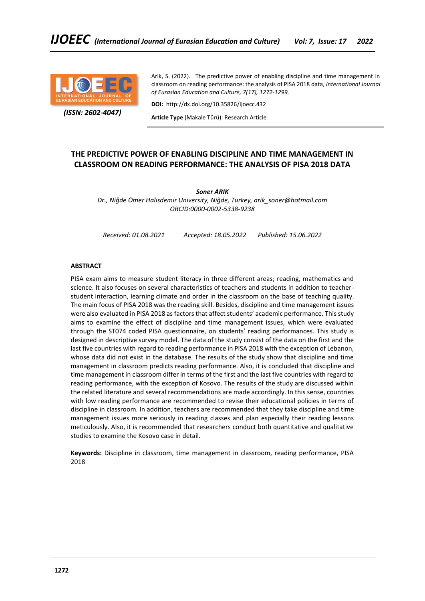

 *(ISSN: 2602-4047)*

Arik, S. (2022). The predictive power of enabling discipline and time management in classroom on reading performance: the analysis of PISA 2018 data, *International Journal of Eurasian Education and Culture, 7(17), 1272-1299.*

**DOI:** http://dx.doi.org/10.35826/ijoecc.432

**Article Type** (Makale Türü): Research Article

# **THE PREDICTIVE POWER OF ENABLING DISCIPLINE AND TIME MANAGEMENT IN CLASSROOM ON READING PERFORMANCE: THE ANALYSIS OF PISA 2018 DATA**

*Soner ARIK*

*Dr., Niğde Ömer Halisdemir University, Niğde, Turkey, arik\_soner@hotmail.com ORCID:0000-0002-5338-9238*

*Received: 01.08.2021 Accepted: 18.05.2022 Published: 15.06.2022*

## **ABSTRACT**

PISA exam aims to measure student literacy in three different areas; reading, mathematics and science. It also focuses on several characteristics of teachers and students in addition to teacherstudent interaction, learning climate and order in the classroom on the base of teaching quality. The main focus of PISA 2018 was the reading skill. Besides, discipline and time management issues were also evaluated in PISA 2018 as factors that affect students' academic performance. This study aims to examine the effect of discipline and time management issues, which were evaluated through the ST074 coded PISA questionnaire, on students' reading performances. This study is designed in descriptive survey model. The data of the study consist of the data on the first and the last five countries with regard to reading performance in PISA 2018 with the exception of Lebanon, whose data did not exist in the database. The results of the study show that discipline and time management in classroom predicts reading performance. Also, it is concluded that discipline and time management in classroom differ in terms of the first and the last five countries with regard to reading performance, with the exception of Kosovo. The results of the study are discussed within the related literature and several recommendations are made accordingly. In this sense, countries with low reading performance are recommended to revise their educational policies in terms of discipline in classroom. In addition, teachers are recommended that they take discipline and time management issues more seriously in reading classes and plan especially their reading lessons meticulously. Also, it is recommended that researchers conduct both quantitative and qualitative studies to examine the Kosovo case in detail.

**Keywords:** Discipline in classroom, time management in classroom, reading performance, PISA 2018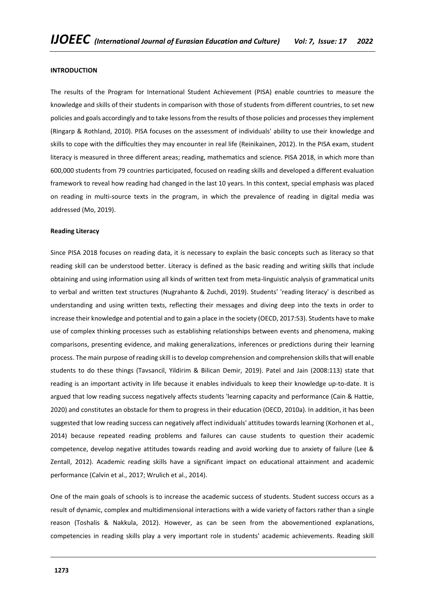## **INTRODUCTION**

The results of the Program for International Student Achievement (PISA) enable countries to measure the knowledge and skills of their students in comparison with those of students from different countries, to set new policies and goals accordingly and to take lessons from the results of those policies and processes they implement (Ringarp & Rothland, 2010). PISA focuses on the assessment of individuals' ability to use their knowledge and skills to cope with the difficulties they may encounter in real life (Reinikainen, 2012). In the PISA exam, student literacy is measured in three different areas; reading, mathematics and science. PISA 2018, in which more than 600,000 students from 79 countries participated, focused on reading skills and developed a different evaluation framework to reveal how reading had changed in the last 10 years. In this context, special emphasis was placed on reading in multi-source texts in the program, in which the prevalence of reading in digital media was addressed (Mo, 2019).

## **Reading Literacy**

Since PISA 2018 focuses on reading data, it is necessary to explain the basic concepts such as literacy so that reading skill can be understood better. Literacy is defined as the basic reading and writing skills that include obtaining and using information using all kinds of written text from meta-linguistic analysis of grammatical units to verbal and written text structures (Nugrahanto & Zuchdi, 2019). Students' 'reading literacy' is described as understanding and using written texts, reflecting their messages and diving deep into the texts in order to increase their knowledge and potential and to gain a place in the society (OECD, 2017:53). Students have to make use of complex thinking processes such as establishing relationships between events and phenomena, making comparisons, presenting evidence, and making generalizations, inferences or predictions during their learning process. The main purpose of reading skill is to develop comprehension and comprehension skills that will enable students to do these things (Tavsancil, Yildirim & Bilican Demir, 2019). Patel and Jain (2008:113) state that reading is an important activity in life because it enables individuals to keep their knowledge up-to-date. It is argued that low reading success negatively affects students 'learning capacity and performance (Cain & Hattie, 2020) and constitutes an obstacle for them to progress in their education (OECD, 2010a). In addition, it has been suggested that low reading success can negatively affect individuals' attitudes towards learning (Korhonen et al., 2014) because repeated reading problems and failures can cause students to question their academic competence, develop negative attitudes towards reading and avoid working due to anxiety of failure (Lee & Zentall, 2012). Academic reading skills have a significant impact on educational attainment and academic performance (Calvin et al., 2017; Wrulich et al., 2014).

One of the main goals of schools is to increase the academic success of students. Student success occurs as a result of dynamic, complex and multidimensional interactions with a wide variety of factors rather than a single reason (Toshalis & Nakkula, 2012). However, as can be seen from the abovementioned explanations, competencies in reading skills play a very important role in students' academic achievements. Reading skill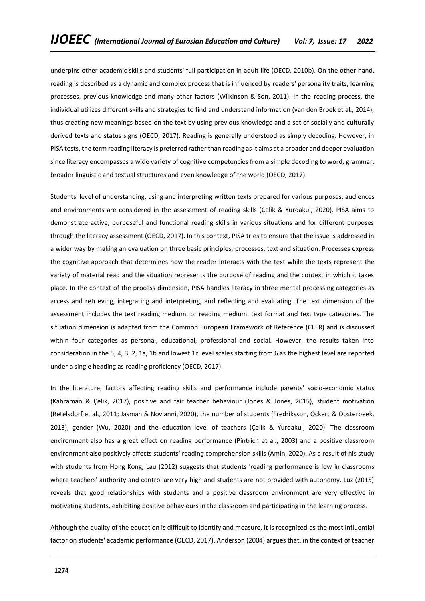underpins other academic skills and students' full participation in adult life (OECD, 2010b). On the other hand, reading is described as a dynamic and complex process that is influenced by readers' personality traits, learning processes, previous knowledge and many other factors (Wilkinson & Son, 2011). In the reading process, the individual utilizes different skills and strategies to find and understand information (van den Broek et al., 2014), thus creating new meanings based on the text by using previous knowledge and a set of socially and culturally derived texts and status signs (OECD, 2017). Reading is generally understood as simply decoding. However, in PISA tests, the term reading literacy is preferred rather than reading as it aims at a broader and deeper evaluation since literacy encompasses a wide variety of cognitive competencies from a simple decoding to word, grammar, broader linguistic and textual structures and even knowledge of the world (OECD, 2017).

Students' level of understanding, using and interpreting written texts prepared for various purposes, audiences and environments are considered in the assessment of reading skills (Çelik & Yurdakul, 2020). PISA aims to demonstrate active, purposeful and functional reading skills in various situations and for different purposes through the literacy assessment (OECD, 2017). In this context, PISA tries to ensure that the issue is addressed in a wider way by making an evaluation on three basic principles; processes, text and situation. Processes express the cognitive approach that determines how the reader interacts with the text while the texts represent the variety of material read and the situation represents the purpose of reading and the context in which it takes place. In the context of the process dimension, PISA handles literacy in three mental processing categories as access and retrieving, integrating and interpreting, and reflecting and evaluating. The text dimension of the assessment includes the text reading medium, or reading medium, text format and text type categories. The situation dimension is adapted from the Common European Framework of Reference (CEFR) and is discussed within four categories as personal, educational, professional and social. However, the results taken into consideration in the 5, 4, 3, 2, 1a, 1b and lowest 1c level scales starting from 6 as the highest level are reported under a single heading as reading proficiency (OECD, 2017).

In the literature, factors affecting reading skills and performance include parents' socio-economic status (Kahraman & Çelik, 2017), positive and fair teacher behaviour (Jones & Jones, 2015), student motivation (Retelsdorf et al., 2011; Jasman & Novianni, 2020), the number of students (Fredriksson, Öckert & Oosterbeek, 2013), gender (Wu, 2020) and the education level of teachers (Çelik & Yurdakul, 2020). The classroom environment also has a great effect on reading performance (Pintrich et al., 2003) and a positive classroom environment also positively affects students' reading comprehension skills (Amin, 2020). As a result of his study with students from Hong Kong, Lau (2012) suggests that students 'reading performance is low in classrooms where teachers' authority and control are very high and students are not provided with autonomy. Luz (2015) reveals that good relationships with students and a positive classroom environment are very effective in motivating students, exhibiting positive behaviours in the classroom and participating in the learning process.

Although the quality of the education is difficult to identify and measure, it is recognized as the most influential factor on students' academic performance (OECD, 2017). Anderson (2004) argues that, in the context of teacher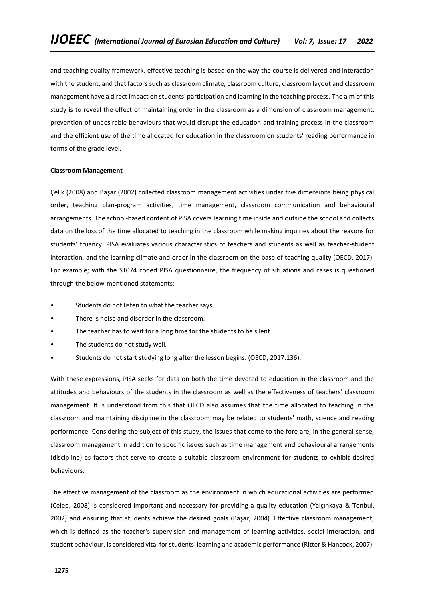and teaching quality framework, effective teaching is based on the way the course is delivered and interaction with the student, and that factors such as classroom climate, classroom culture, classroom layout and classroom management have a direct impact on students' participation and learning in the teaching process. The aim of this study is to reveal the effect of maintaining order in the classroom as a dimension of classroom management, prevention of undesirable behaviours that would disrupt the education and training process in the classroom and the efficient use of the time allocated for education in the classroom on students' reading performance in terms of the grade level.

## **Classroom Management**

Çelik (2008) and Başar (2002) collected classroom management activities under five dimensions being physical order, teaching plan-program activities, time management, classroom communication and behavioural arrangements. The school-based content of PISA covers learning time inside and outside the school and collects data on the loss of the time allocated to teaching in the classroom while making inquiries about the reasons for students' truancy. PISA evaluates various characteristics of teachers and students as well as teacher-student interaction, and the learning climate and order in the classroom on the base of teaching quality (OECD, 2017). For example; with the ST074 coded PISA questionnaire, the frequency of situations and cases is questioned through the below-mentioned statements:

- Students do not listen to what the teacher says.
- There is noise and disorder in the classroom.
- The teacher has to wait for a long time for the students to be silent.
- The students do not study well.
- Students do not start studying long after the lesson begins. (OECD, 2017:136).

With these expressions, PISA seeks for data on both the time devoted to education in the classroom and the attitudes and behaviours of the students in the classroom as well as the effectiveness of teachers' classroom management. It is understood from this that OECD also assumes that the time allocated to teaching in the classroom and maintaining discipline in the classroom may be related to students' math, science and reading performance. Considering the subject of this study, the issues that come to the fore are, in the general sense, classroom management in addition to specific issues such as time management and behavioural arrangements (discipline) as factors that serve to create a suitable classroom environment for students to exhibit desired behaviours.

The effective management of the classroom as the environment in which educational activities are performed (Celep, 2008) is considered important and necessary for providing a quality education (Yalçınkaya & Tonbul, 2002) and ensuring that students achieve the desired goals (Başar, 2004). Effective classroom management, which is defined as the teacher's supervision and management of learning activities, social interaction, and student behaviour, is considered vital for students' learning and academic performance (Ritter & Hancock, 2007).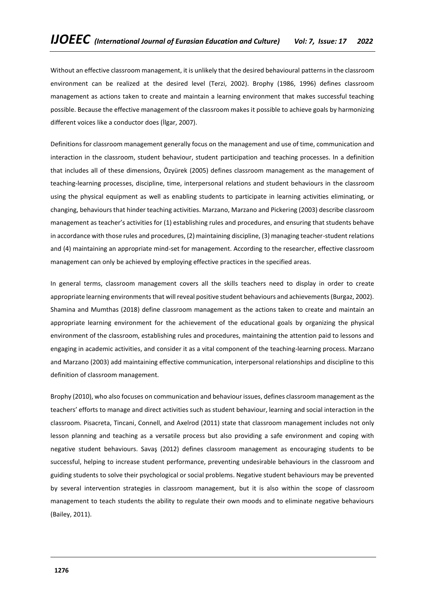Without an effective classroom management, it is unlikely that the desired behavioural patterns in the classroom environment can be realized at the desired level (Terzi, 2002). Brophy (1986, 1996) defines classroom management as actions taken to create and maintain a learning environment that makes successful teaching possible. Because the effective management of the classroom makes it possible to achieve goals by harmonizing different voices like a conductor does (İlgar, 2007).

Definitions for classroom management generally focus on the management and use of time, communication and interaction in the classroom, student behaviour, student participation and teaching processes. In a definition that includes all of these dimensions, Özyürek (2005) defines classroom management as the management of teaching-learning processes, discipline, time, interpersonal relations and student behaviours in the classroom using the physical equipment as well as enabling students to participate in learning activities eliminating, or changing, behaviours that hinder teaching activities. Marzano, Marzano and Pickering (2003) describe classroom management as teacher's activities for (1) establishing rules and procedures, and ensuring that students behave in accordance with those rules and procedures, (2) maintaining discipline, (3) managing teacher-student relations and (4) maintaining an appropriate mind-set for management. According to the researcher, effective classroom management can only be achieved by employing effective practices in the specified areas.

In general terms, classroom management covers all the skills teachers need to display in order to create appropriate learning environments that will reveal positive student behaviours and achievements (Burgaz, 2002). Shamina and Mumthas (2018) define classroom management as the actions taken to create and maintain an appropriate learning environment for the achievement of the educational goals by organizing the physical environment of the classroom, establishing rules and procedures, maintaining the attention paid to lessons and engaging in academic activities, and consider it as a vital component of the teaching-learning process. Marzano and Marzano (2003) add maintaining effective communication, interpersonal relationships and discipline to this definition of classroom management.

Brophy (2010), who also focuses on communication and behaviour issues, defines classroom management as the teachers' efforts to manage and direct activities such as student behaviour, learning and social interaction in the classroom. Pisacreta, Tincani, Connell, and Axelrod (2011) state that classroom management includes not only lesson planning and teaching as a versatile process but also providing a safe environment and coping with negative student behaviours. Savaş (2012) defines classroom management as encouraging students to be successful, helping to increase student performance, preventing undesirable behaviours in the classroom and guiding students to solve their psychological or social problems. Negative student behaviours may be prevented by several intervention strategies in classroom management, but it is also within the scope of classroom management to teach students the ability to regulate their own moods and to eliminate negative behaviours (Bailey, 2011).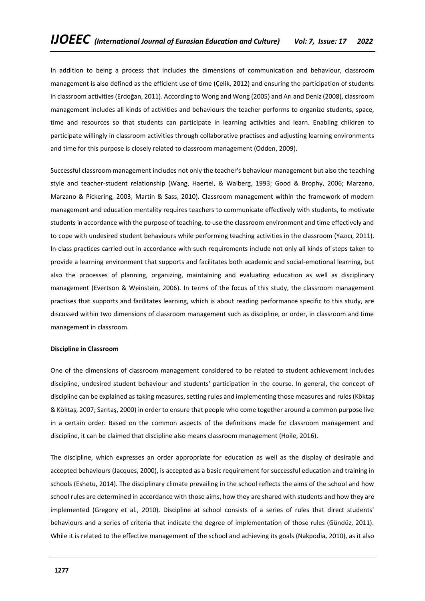In addition to being a process that includes the dimensions of communication and behaviour, classroom management is also defined as the efficient use of time (Çelik, 2012) and ensuring the participation of students in classroom activities (Erdoğan, 2011). According to Wong and Wong (2005) and Arı and Deniz (2008), classroom management includes all kinds of activities and behaviours the teacher performs to organize students, space, time and resources so that students can participate in learning activities and learn. Enabling children to participate willingly in classroom activities through collaborative practises and adjusting learning environments and time for this purpose is closely related to classroom management (Odden, 2009).

Successful classroom management includes not only the teacher's behaviour management but also the teaching style and teacher-student relationship (Wang, Haertel, & Walberg, 1993; Good & Brophy, 2006; Marzano, Marzano & Pickering, 2003; Martin & Sass, 2010). Classroom management within the framework of modern management and education mentality requires teachers to communicate effectively with students, to motivate students in accordance with the purpose of teaching, to use the classroom environment and time effectively and to cope with undesired student behaviours while performing teaching activities in the classroom (Yazıcı, 2011). In-class practices carried out in accordance with such requirements include not only all kinds of steps taken to provide a learning environment that supports and facilitates both academic and social-emotional learning, but also the processes of planning, organizing, maintaining and evaluating education as well as disciplinary management (Evertson & Weinstein, 2006). In terms of the focus of this study, the classroom management practises that supports and facilitates learning, which is about reading performance specific to this study, are discussed within two dimensions of classroom management such as discipline, or order, in classroom and time management in classroom.

## **Discipline in Classroom**

One of the dimensions of classroom management considered to be related to student achievement includes discipline, undesired student behaviour and students' participation in the course. In general, the concept of discipline can be explained as taking measures, setting rules and implementing those measures and rules (Köktaş & Köktaş, 2007; Sarıtaş, 2000) in order to ensure that people who come together around a common purpose live in a certain order. Based on the common aspects of the definitions made for classroom management and discipline, it can be claimed that discipline also means classroom management (Hoile, 2016).

The discipline, which expresses an order appropriate for education as well as the display of desirable and accepted behaviours (Jacques, 2000), is accepted as a basic requirement for successful education and training in schools (Eshetu, 2014). The disciplinary climate prevailing in the school reflects the aims of the school and how school rules are determined in accordance with those aims, how they are shared with students and how they are implemented (Gregory et al., 2010). Discipline at school consists of a series of rules that direct students' behaviours and a series of criteria that indicate the degree of implementation of those rules (Gündüz, 2011). While it is related to the effective management of the school and achieving its goals (Nakpodia, 2010), as it also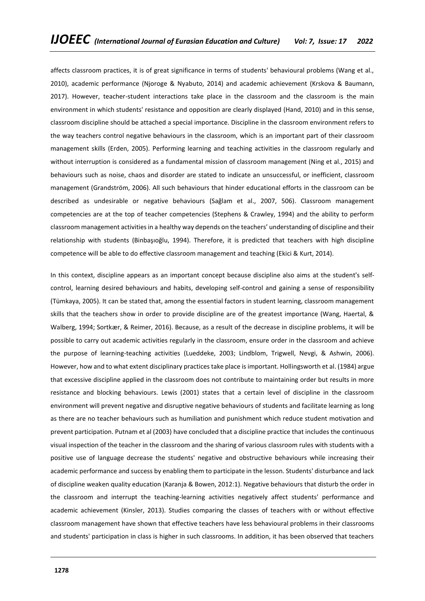affects classroom practices, it is of great significance in terms of students' behavioural problems (Wang et al., 2010), academic performance (Njoroge & Nyabuto, 2014) and academic achievement (Krskova & Baumann, 2017). However, teacher-student interactions take place in the classroom and the classroom is the main environment in which students' resistance and opposition are clearly displayed (Hand, 2010) and in this sense, classroom discipline should be attached a special importance. Discipline in the classroom environment refers to the way teachers control negative behaviours in the classroom, which is an important part of their classroom management skills (Erden, 2005). Performing learning and teaching activities in the classroom regularly and without interruption is considered as a fundamental mission of classroom management (Ning et al., 2015) and behaviours such as noise, chaos and disorder are stated to indicate an unsuccessful, or inefficient, classroom management (Grandström, 2006). All such behaviours that hinder educational efforts in the classroom can be described as undesirable or negative behaviours (Sağlam et al., 2007, 506). Classroom management competencies are at the top of teacher competencies (Stephens & Crawley, 1994) and the ability to perform classroom management activities in a healthy way depends on the teachers' understanding of discipline and their relationship with students (Binbaşıoğlu, 1994). Therefore, it is predicted that teachers with high discipline competence will be able to do effective classroom management and teaching (Ekici & Kurt, 2014).

In this context, discipline appears as an important concept because discipline also aims at the student's selfcontrol, learning desired behaviours and habits, developing self-control and gaining a sense of responsibility (Tümkaya, 2005). It can be stated that, among the essential factors in student learning, classroom management skills that the teachers show in order to provide discipline are of the greatest importance (Wang, Haertal, & Walberg, 1994; Sortkær, & Reimer, 2016). Because, as a result of the decrease in discipline problems, it will be possible to carry out academic activities regularly in the classroom, ensure order in the classroom and achieve the purpose of learning-teaching activities (Lueddeke, 2003; Lindblom, Trigwell, Nevgi, & Ashwin, 2006). However, how and to what extent disciplinary practices take place is important. Hollingsworth et al. (1984) argue that excessive discipline applied in the classroom does not contribute to maintaining order but results in more resistance and blocking behaviours. Lewis (2001) states that a certain level of discipline in the classroom environment will prevent negative and disruptive negative behaviours of students and facilitate learning as long as there are no teacher behaviours such as humiliation and punishment which reduce student motivation and prevent participation. Putnam et al (2003) have concluded that a discipline practice that includes the continuous visual inspection of the teacher in the classroom and the sharing of various classroom rules with students with a positive use of language decrease the students' negative and obstructive behaviours while increasing their academic performance and success by enabling them to participate in the lesson. Students' disturbance and lack of discipline weaken quality education (Karanja & Bowen, 2012:1). Negative behaviours that disturb the order in the classroom and interrupt the teaching-learning activities negatively affect students' performance and academic achievement (Kinsler, 2013). Studies comparing the classes of teachers with or without effective classroom management have shown that effective teachers have less behavioural problems in their classrooms and students' participation in class is higher in such classrooms. In addition, it has been observed that teachers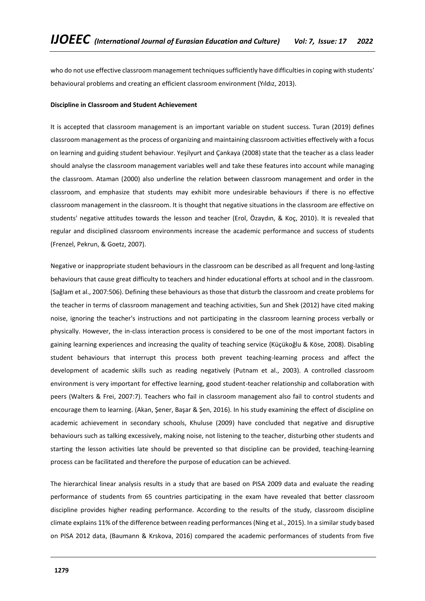who do not use effective classroom management techniques sufficiently have difficulties in coping with students' behavioural problems and creating an efficient classroom environment (Yıldız, 2013).

#### **Discipline in Classroom and Student Achievement**

It is accepted that classroom management is an important variable on student success. Turan (2019) defines classroom management as the process of organizing and maintaining classroom activities effectively with a focus on learning and guiding student behaviour. Yeşilyurt and Çankaya (2008) state that the teacher as a class leader should analyse the classroom management variables well and take these features into account while managing the classroom. Ataman (2000) also underline the relation between classroom management and order in the classroom, and emphasize that students may exhibit more undesirable behaviours if there is no effective classroom management in the classroom. It is thought that negative situations in the classroom are effective on students' negative attitudes towards the lesson and teacher (Erol, Özaydın, & Koç, 2010). It is revealed that regular and disciplined classroom environments increase the academic performance and success of students (Frenzel, Pekrun, & Goetz, 2007).

Negative or inappropriate student behaviours in the classroom can be described as all frequent and long-lasting behaviours that cause great difficulty to teachers and hinder educational efforts at school and in the classroom. (Sağlam et al., 2007:506). Defining these behaviours as those that disturb the classroom and create problems for the teacher in terms of classroom management and teaching activities, Sun and Shek (2012) have cited making noise, ignoring the teacher's instructions and not participating in the classroom learning process verbally or physically. However, the in-class interaction process is considered to be one of the most important factors in gaining learning experiences and increasing the quality of teaching service (Küçükoğlu & Köse, 2008). Disabling student behaviours that interrupt this process both prevent teaching-learning process and affect the development of academic skills such as reading negatively (Putnam et al., 2003). A controlled classroom environment is very important for effective learning, good student-teacher relationship and collaboration with peers (Walters & Frei, 2007:7). Teachers who fail in classroom management also fail to control students and encourage them to learning. (Akan, Şener, Başar & Şen, 2016). In his study examining the effect of discipline on academic achievement in secondary schools, Khuluse (2009) have concluded that negative and disruptive behaviours such as talking excessively, making noise, not listening to the teacher, disturbing other students and starting the lesson activities late should be prevented so that discipline can be provided, teaching-learning process can be facilitated and therefore the purpose of education can be achieved.

The hierarchical linear analysis results in a study that are based on PISA 2009 data and evaluate the reading performance of students from 65 countries participating in the exam have revealed that better classroom discipline provides higher reading performance. According to the results of the study, classroom discipline climate explains 11% of the difference between reading performances (Ning et al., 2015). In a similar study based on PISA 2012 data, (Baumann & Krskova, 2016) compared the academic performances of students from five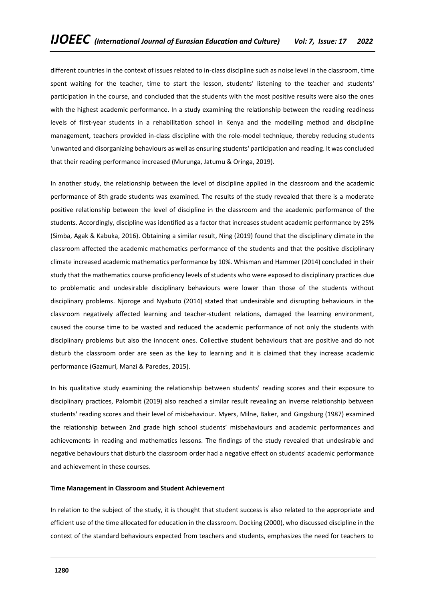different countries in the context of issues related to in-class discipline such as noise level in the classroom, time spent waiting for the teacher, time to start the lesson, students' listening to the teacher and students' participation in the course, and concluded that the students with the most positive results were also the ones with the highest academic performance. In a study examining the relationship between the reading readiness levels of first-year students in a rehabilitation school in Kenya and the modelling method and discipline management, teachers provided in-class discipline with the role-model technique, thereby reducing students 'unwanted and disorganizing behaviours as well as ensuring students' participation and reading. It was concluded that their reading performance increased (Murunga, Jatumu & Oringa, 2019).

In another study, the relationship between the level of discipline applied in the classroom and the academic performance of 8th grade students was examined. The results of the study revealed that there is a moderate positive relationship between the level of discipline in the classroom and the academic performance of the students. Accordingly, discipline was identified as a factor that increases student academic performance by 25% (Simba, Agak & Kabuka, 2016). Obtaining a similar result, Ning (2019) found that the disciplinary climate in the classroom affected the academic mathematics performance of the students and that the positive disciplinary climate increased academic mathematics performance by 10%. Whisman and Hammer (2014) concluded in their study that the mathematics course proficiency levels of students who were exposed to disciplinary practices due to problematic and undesirable disciplinary behaviours were lower than those of the students without disciplinary problems. Njoroge and Nyabuto (2014) stated that undesirable and disrupting behaviours in the classroom negatively affected learning and teacher-student relations, damaged the learning environment, caused the course time to be wasted and reduced the academic performance of not only the students with disciplinary problems but also the innocent ones. Collective student behaviours that are positive and do not disturb the classroom order are seen as the key to learning and it is claimed that they increase academic performance (Gazmuri, Manzi & Paredes, 2015).

In his qualitative study examining the relationship between students' reading scores and their exposure to disciplinary practices, Palombit (2019) also reached a similar result revealing an inverse relationship between students' reading scores and their level of misbehaviour. Myers, Milne, Baker, and Gingsburg (1987) examined the relationship between 2nd grade high school students' misbehaviours and academic performances and achievements in reading and mathematics lessons. The findings of the study revealed that undesirable and negative behaviours that disturb the classroom order had a negative effect on students' academic performance and achievement in these courses.

## **Time Management in Classroom and Student Achievement**

In relation to the subject of the study, it is thought that student success is also related to the appropriate and efficient use of the time allocated for education in the classroom. Docking (2000), who discussed discipline in the context of the standard behaviours expected from teachers and students, emphasizes the need for teachers to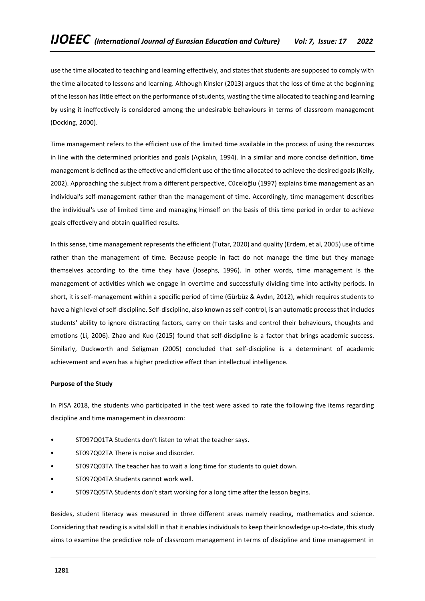use the time allocated to teaching and learning effectively, and states that students are supposed to comply with the time allocated to lessons and learning. Although Kinsler (2013) argues that the loss of time at the beginning of the lesson has little effect on the performance of students, wasting the time allocated to teaching and learning by using it ineffectively is considered among the undesirable behaviours in terms of classroom management (Docking, 2000).

Time management refers to the efficient use of the limited time available in the process of using the resources in line with the determined priorities and goals (Açıkalın, 1994). In a similar and more concise definition, time management is defined as the effective and efficient use of the time allocated to achieve the desired goals (Kelly, 2002). Approaching the subject from a different perspective, Cüceloğlu (1997) explains time management as an individual's self-management rather than the management of time. Accordingly, time management describes the individual's use of limited time and managing himself on the basis of this time period in order to achieve goals effectively and obtain qualified results.

In this sense, time management represents the efficient (Tutar, 2020) and quality (Erdem, et al, 2005) use of time rather than the management of time. Because people in fact do not manage the time but they manage themselves according to the time they have (Josephs, 1996). In other words, time management is the management of activities which we engage in overtime and successfully dividing time into activity periods. In short, it is self-management within a specific period of time (Gürbüz & Aydın, 2012), which requires students to have a high level of self-discipline. Self-discipline, also known as self-control, is an automatic process that includes students' ability to ignore distracting factors, carry on their tasks and control their behaviours, thoughts and emotions (Li, 2006). Zhao and Kuo (2015) found that self-discipline is a factor that brings academic success. Similarly, Duckworth and Seligman (2005) concluded that self-discipline is a determinant of academic achievement and even has a higher predictive effect than intellectual intelligence.

## **Purpose of the Study**

In PISA 2018, the students who participated in the test were asked to rate the following five items regarding discipline and time management in classroom:

- ST097Q01TA Students don't listen to what the teacher says.
- ST097Q02TA There is noise and disorder.
- ST097Q03TA The teacher has to wait a long time for students to quiet down.
- ST097Q04TA Students cannot work well.
- ST097Q05TA Students don't start working for a long time after the lesson begins.

Besides, student literacy was measured in three different areas namely reading, mathematics and science. Considering that reading is a vital skill in that it enables individuals to keep their knowledge up-to-date, this study aims to examine the predictive role of classroom management in terms of discipline and time management in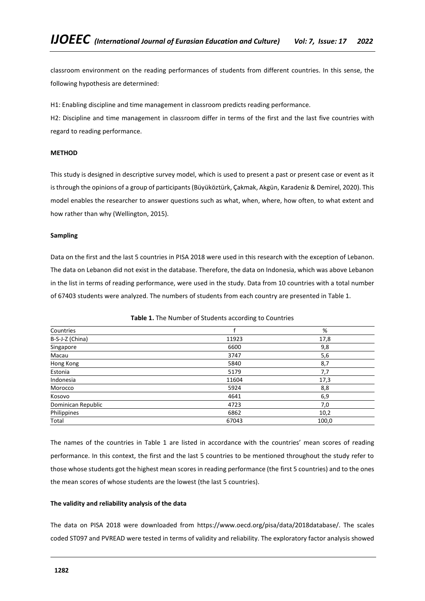classroom environment on the reading performances of students from different countries. In this sense, the following hypothesis are determined:

H1: Enabling discipline and time management in classroom predicts reading performance.

H2: Discipline and time management in classroom differ in terms of the first and the last five countries with regard to reading performance.

## **METHOD**

This study is designed in descriptive survey model, which is used to present a past or present case or event as it is through the opinions of a group of participants (Büyüköztürk, Çakmak, Akgün, Karadeniz & Demirel, 2020). This model enables the researcher to answer questions such as what, when, where, how often, to what extent and how rather than why (Wellington, 2015).

## **Sampling**

Data on the first and the last 5 countries in PISA 2018 were used in this research with the exception of Lebanon. The data on Lebanon did not exist in the database. Therefore, the data on Indonesia, which was above Lebanon in the list in terms of reading performance, were used in the study. Data from 10 countries with a total number of 67403 students were analyzed. The numbers of students from each country are presented in Table 1.

| Countries          |       | %     |
|--------------------|-------|-------|
| B-S-J-Z (China)    | 11923 | 17,8  |
| Singapore          | 6600  | 9,8   |
| Macau              | 3747  | 5,6   |
| Hong Kong          | 5840  | 8,7   |
| Estonia            | 5179  | 7,7   |
| Indonesia          | 11604 | 17,3  |
| Morocco            | 5924  | 8,8   |
| Kosovo             | 4641  | 6,9   |
| Dominican Republic | 4723  | 7,0   |
| Philippines        | 6862  | 10,2  |
| Total              | 67043 | 100,0 |

**Table 1.** The Number of Students according to Countries

The names of the countries in Table 1 are listed in accordance with the countries' mean scores of reading performance. In this context, the first and the last 5 countries to be mentioned throughout the study refer to those whose students got the highest mean scores in reading performance (the first 5 countries) and to the ones the mean scores of whose students are the lowest (the last 5 countries).

## **The validity and reliability analysis of the data**

The data on PISA 2018 were downloaded from https://www.oecd.org/pisa/data/2018database/. The scales coded ST097 and PVREAD were tested in terms of validity and reliability. The exploratory factor analysis showed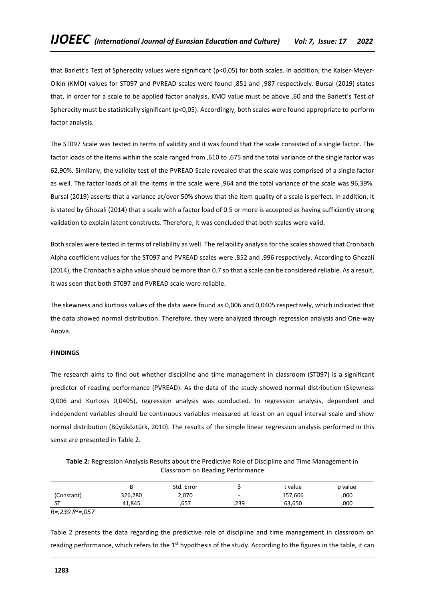that Barlett's Test of Spherecity values were significant (p<0,05) for both scales. In addition, the Kaiser-Meyer-Olkin (KMO) values for ST097 and PVREAD scales were found ,851 and ,987 respectively. Bursal (2019) states that, in order for a scale to be applied factor analysis, KMO value must be above ,60 and the Barlett's Test of Spherecity must be statistically significant (p<0,05). Accordingly, both scales were found appropriate to perform factor analysis.

The ST097 Scale was tested in terms of validity and it was found that the scale consisted of a single factor. The factor loads of the items within the scale ranged from ,610 to ,675 and the total variance of the single factor was 62,90%. Similarly, the validity test of the PVREAD Scale revealed that the scale was comprised of a single factor as well. The factor loads of all the items in the scale were ,964 and the total variance of the scale was 96,39%. Bursal (2019) asserts that a variance at/over 50% shows that the item quality of a scale is perfect. In addition, it is stated by Ghozali (2014) that a scale with a factor load of 0.5 or more is accepted as having sufficiently strong validation to explain latent constructs. Therefore, it was concluded that both scales were valid.

Both scales were tested in terms of reliability as well. The reliability analysis for the scales showed that Cronbach Alpha coefficient values for the ST097 and PVREAD scales were ,852 and ,996 respectively. According to Ghozali (2014), the Cronbach's alpha value should be more than 0.7 so that a scale can be considered reliable. As a result, it was seen that both ST097 and PVREAD scale were reliable.

The skewness and kurtosis values of the data were found as 0,006 and 0,0405 respectively, which indicated that the data showed normal distribution. Therefore, they were analyzed through regression analysis and One-way Anova.

## **FINDINGS**

The research aims to find out whether discipline and time management in classroom (ST097) is a significant predictor of reading performance (PVREAD). As the data of the study showed normal distribution (Skewness 0,006 and Kurtosis 0,0405), regression analysis was conducted. In regression analysis, dependent and independent variables should be continuous variables measured at least on an equal interval scale and show normal distribution (Büyüköztürk, 2010). The results of the simple linear regression analysis performed in this sense are presented in Table 2.

**Table 2:** Regression Analysis Results about the Predictive Role of Discipline and Time Management in Classroom on Reading Performance

|                                 |         | Std. Error  |      | value       | p value |
|---------------------------------|---------|-------------|------|-------------|---------|
| 'Constant'                      | 326,280 | 2.070       | -    | .606<br>157 | ,000    |
| $\overline{\phantom{0}}$<br>ا پ | 41,845  | ---<br>. כס | .239 | 63.650      | ,000    |

*R=,239 R<sup>2</sup>=,057*

Table 2 presents the data regarding the predictive role of discipline and time management in classroom on reading performance, which refers to the 1<sup>st</sup> hypothesis of the study. According to the figures in the table, it can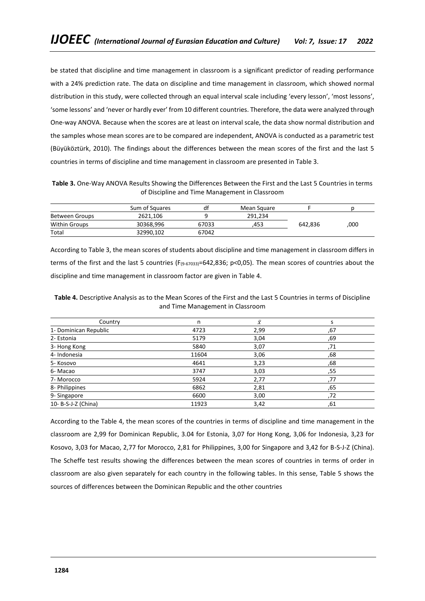be stated that discipline and time management in classroom is a significant predictor of reading performance with a 24% prediction rate. The data on discipline and time management in classroom, which showed normal distribution in this study, were collected through an equal interval scale including 'every lesson', 'most lessons', 'some lessons' and 'never or hardly ever' from 10 different countries. Therefore, the data were analyzed through One-way ANOVA. Because when the scores are at least on interval scale, the data show normal distribution and the samples whose mean scores are to be compared are independent, ANOVA is conducted as a parametric test (Büyüköztürk, 2010). The findings about the differences between the mean scores of the first and the last 5 countries in terms of discipline and time management in classroom are presented in Table 3.

**Table 3.** One-Way ANOVA Results Showing the Differences Between the First and the Last 5 Countries in terms of Discipline and Time Management in Classroom

|                       | Sum of Squares | df    | Mean Square |         |      |
|-----------------------|----------------|-------|-------------|---------|------|
| <b>Between Groups</b> | 2621.106       |       | 291.234     |         |      |
| <b>Within Groups</b>  | 30368.996      | 67033 | 453.        | 642.836 | ,000 |
| Total                 | 32990.102      | 67042 |             |         |      |

According to Table 3, the mean scores of students about discipline and time management in classroom differs in terms of the first and the last 5 countries (F(9-67033)=642,836; p<0,05). The mean scores of countries about the discipline and time management in classroom factor are given in Table 4.

**Table 4.** Descriptive Analysis as to the Mean Scores of the First and the Last 5 Countries in terms of Discipline and Time Management in Classroom

| Country               | n     | $\bar{\chi}$ |     |
|-----------------------|-------|--------------|-----|
| 1- Dominican Republic | 4723  | 2,99         | ,67 |
| 2- Estonia            | 5179  | 3,04         | ,69 |
| 3- Hong Kong          | 5840  | 3,07         | 71, |
| 4- Indonesia          | 11604 | 3,06         | ,68 |
| 5-Kosovo              | 4641  | 3,23         | ,68 |
| 6-Macao               | 3747  | 3,03         | ,55 |
| 7-Morocco             | 5924  | 2,77         | ,77 |
| 8- Philippines        | 6862  | 2,81         | ,65 |
| 9-Singapore           | 6600  | 3,00         | .72 |
| 10- B-S-J-Z (China)   | 11923 | 3,42         | ,61 |

According to the Table 4, the mean scores of the countries in terms of discipline and time management in the classroom are 2,99 for Dominican Republic, 3.04 for Estonia, 3,07 for Hong Kong, 3,06 for Indonesia, 3,23 for Kosovo, 3,03 for Macao, 2,77 for Morocco, 2,81 for Philippines, 3,00 for Singapore and 3,42 for B-S-J-Z (China). The Scheffe test results showing the differences between the mean scores of countries in terms of order in classroom are also given separately for each country in the following tables. In this sense, Table 5 shows the sources of differences between the Dominican Republic and the other countries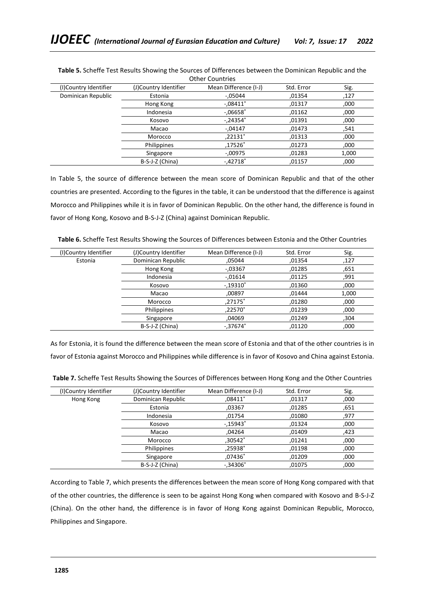| (I)Country Identifier | (J)Country Identifier | Mean Difference (I-J) | Std. Error | Sig.  |  |  |
|-----------------------|-----------------------|-----------------------|------------|-------|--|--|
| Dominican Republic    | Estonia               | $-05044$              | ,01354     | ,127  |  |  |
|                       | Hong Kong             | $-.08411*$            | ,01317     | ,000  |  |  |
|                       | Indonesia             | $-.06658*$            | ,01162     | ,000  |  |  |
|                       | Kosovo                | $-.24354*$            | ,01391     | ,000  |  |  |
|                       | Macao                 | $-0.04147$            | .01473     | .541  |  |  |
|                       | Morocco               | ,22131*               | ,01313     | ,000  |  |  |
|                       | Philippines           | ,17526*               | ,01273     | ,000  |  |  |
|                       | Singapore             | $-0.00975$            | ,01283     | 1,000 |  |  |
|                       | B-S-J-Z (China)       | $-.42718*$            | ,01157     | ,000  |  |  |

**Table 5.** Scheffe Test Results Showing the Sources of Differences between the Dominican Republic and the Other Countries

In Table 5, the source of difference between the mean score of Dominican Republic and that of the other countries are presented. According to the figures in the table, it can be understood that the difference is against Morocco and Philippines while it is in favor of Dominican Republic. On the other hand, the difference is found in favor of Hong Kong, Kosovo and B-S-J-Z (China) against Dominican Republic.

| Table 6. Scheffe Test Results Showing the Sources of Differences between Estonia and the Other Countries |  |
|----------------------------------------------------------------------------------------------------------|--|
|----------------------------------------------------------------------------------------------------------|--|

| (I)Country Identifier | (J)Country Identifier | Mean Difference (I-J) | Std. Error | Sig.  |
|-----------------------|-----------------------|-----------------------|------------|-------|
| Estonia               | Dominican Republic    | .05044                | ,01354     | ,127  |
|                       | Hong Kong             | $-0.03367$            | ,01285     | .651  |
|                       | Indonesia             | $-0.01614$            | ,01125     | ,991  |
|                       | Kosovo                | $-.19310*$            | ,01360     | .000  |
|                       | Macao                 | .00897                | .01444     | 1,000 |
|                       | Morocco               | ,27175*               | ,01280     | ,000  |
|                       | Philippines           | $.22570*$             | ,01239     | .000  |
|                       | Singapore             | ,04069                | ,01249     | ,304  |
|                       | B-S-J-Z (China)       | $-.37674*$            | ,01120     | ,000  |

As for Estonia, it is found the difference between the mean score of Estonia and that of the other countries is in favor of Estonia against Morocco and Philippines while difference is in favor of Kosovo and China against Estonia.

| (I)Country Identifier | (J)Country Identifier | Mean Difference (I-J) | Std. Error | Sig. |
|-----------------------|-----------------------|-----------------------|------------|------|
| Hong Kong             | Dominican Republic    | ,08411*               | ,01317     | ,000 |
|                       | Estonia               | ,03367                | ,01285     | ,651 |
|                       | Indonesia             | .01754                | ,01080     | ,977 |
|                       | Kosovo                | $-.15943*$            | .01324     | ,000 |
|                       | Macao                 | .04264                | .01409     | ,423 |
|                       | Morocco               | .30542*               | ,01241     | ,000 |
|                       | Philippines           | ,25938*               | ,01198     | ,000 |
|                       | Singapore             | $.07436*$             | ,01209     | ,000 |
|                       | B-S-J-Z (China)       | $-.34306*$            | .01075     | ,000 |

**Table 7.** Scheffe Test Results Showing the Sources of Differences between Hong Kong and the Other Countries

According to Table 7, which presents the differences between the mean score of Hong Kong compared with that of the other countries, the difference is seen to be against Hong Kong when compared with Kosovo and B-S-J-Z (China). On the other hand, the difference is in favor of Hong Kong against Dominican Republic, Morocco, Philippines and Singapore.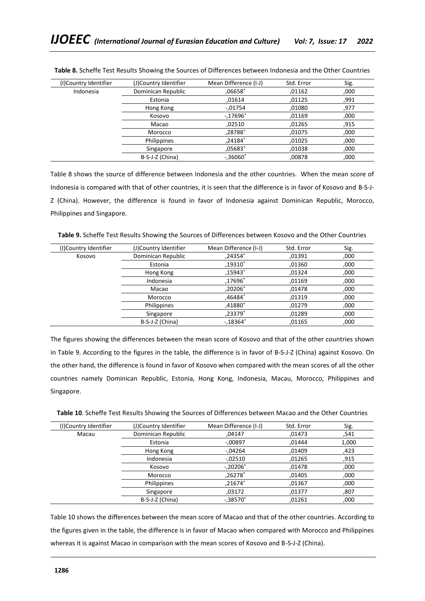| (I)Country Identifier | (J)Country Identifier | Mean Difference (I-J) | Std. Error | Sig. |
|-----------------------|-----------------------|-----------------------|------------|------|
| Indonesia             | Dominican Republic    | ,06658*               | 01162,     | ,000 |
|                       | Estonia               | ,01614                | ,01125     | ,991 |
|                       | Hong Kong             | $-0.01754$            | ,01080     | ,977 |
|                       | Kosovo                | $-.17696*$            | ,01169     | ,000 |
|                       | Macao                 | ,02510                | ,01265     | ,915 |
|                       | Morocco               | ,28788*               | ,01075     | ,000 |
|                       | Philippines           | ,24184*               | ,01025     | ,000 |
|                       | Singapore             | ,05683*               | ,01038     | ,000 |
|                       | B-S-J-Z (China)       | $-.36060*$            | ,00878     | ,000 |

**Table 8.** Scheffe Test Results Showing the Sources of Differences between Indonesia and the Other Countries

Table 8 shows the source of difference between Indonesia and the other countries. When the mean score of Indonesia is compared with that of other countries, it is seen that the difference is in favor of Kosovo and B-S-J-Z (China). However, the difference is found in favor of Indonesia against Dominican Republic, Morocco, Philippines and Singapore.

**Table 9.** Scheffe Test Results Showing the Sources of Differences between Kosovo and the Other Countries

| (I)Country Identifier | (J)Country Identifier | Mean Difference (I-J) | Std. Error | Sig. |
|-----------------------|-----------------------|-----------------------|------------|------|
| Kosovo                | Dominican Republic    | .24354*               | ,01391     | .000 |
|                       | Estonia               | ,19310*               | 01360,     | ,000 |
|                       | Hong Kong             | $.15943*$             | ,01324     | ,000 |
|                       | Indonesia             | ,17696*               | ,01169     | ,000 |
|                       | Macao                 | $.20206*$             | ,01478     | ,000 |
|                       | Morocco               | ,46484 $^*$           | ,01319     | ,000 |
|                       | Philippines           | .41880 $^*$           | .01279     | ,000 |
|                       | Singapore             | ,23379 $^*$           | ,01289     | ,000 |
|                       | B-S-J-Z (China)       | $-18364*$             | ,01165     | ,000 |

The figures showing the differences between the mean score of Kosovo and that of the other countries shown in Table 9. According to the figures in the table, the difference is in favor of B-S-J-Z (China) against Kosovo. On the other hand, the difference is found in favor of Kosovo when compared with the mean scores of all the other countries namely Dominican Republic, Estonia, Hong Kong, Indonesia, Macau, Morocco, Philippines and Singapore.

| (I)Country Identifier | (J)Country Identifier | Mean Difference (I-J) | Std. Error | Sig.  |
|-----------------------|-----------------------|-----------------------|------------|-------|
| Macau                 | Dominican Republic    | ,04147                | ,01473     | .541  |
|                       | Estonia               | $-0.00897$            | ,01444     | 1,000 |
|                       | Hong Kong             | $-04264$              | ,01409     | ,423  |
|                       | Indonesia             | $-0.02510$            | ,01265     | .915  |
|                       | Kosovo                | $-.20206*$            | ,01478     | ,000  |
|                       | Morocco               | ,26278*               | ,01405     | ,000  |
|                       | Philippines           | ,21674*               | ,01367     | ,000  |
|                       | Singapore             | ,03172                | ,01377     | ,807  |
|                       | B-S-J-Z (China)       | $-.38570*$            | .01261     | ,000  |

Table 10 shows the differences between the mean score of Macao and that of the other countries. According to the figures given in the table, the difference is in favor of Macao when compared with Morocco and Philippines whereas it is against Macao in comparison with the mean scores of Kosovo and B-S-J-Z (China).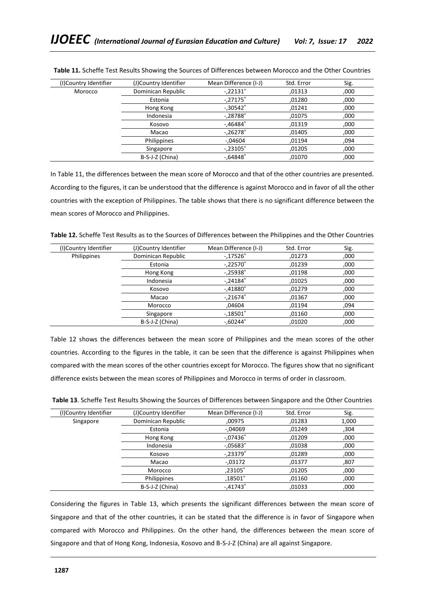| (I)Country Identifier | (J)Country Identifier | Mean Difference (I-J)   | Std. Error | Sig. |
|-----------------------|-----------------------|-------------------------|------------|------|
| Morocco               | Dominican Republic    | $-.22131*$              | ,01313     | ,000 |
|                       | Estonia               | $-.27175*$              | ,01280     | ,000 |
|                       | Hong Kong             | $-.30542*$              | .01241     | ,000 |
|                       | Indonesia             | $-.28788*$              | .01075     | ,000 |
|                       | Kosovo                | $-46484*$               | ,01319     | ,000 |
|                       | Macao                 | $-.26278$ <sup>*</sup>  | ,01405     | ,000 |
|                       | Philippines           | $-0.04604$              | .01194     | .094 |
|                       | Singapore             | $-.23105"$              | ,01205     | ,000 |
|                       | B-S-J-Z (China)       | $-0.64848$ <sup>*</sup> | .01070     | ,000 |

**Table 11.** Scheffe Test Results Showing the Sources of Differences between Morocco and the Other Countries

In Table 11, the differences between the mean score of Morocco and that of the other countries are presented. According to the figures, it can be understood that the difference is against Morocco and in favor of all the other countries with the exception of Philippines. The table shows that there is no significant difference between the mean scores of Morocco and Philippines.

**Table 12.** Scheffe Test Results as to the Sources of Differences between the Philippines and the Other Countries

| (I)Country Identifier | (J)Country Identifier | Mean Difference (I-J) | Std. Error | Sig. |
|-----------------------|-----------------------|-----------------------|------------|------|
| Philippines           | Dominican Republic    | $-.17526*$            | ,01273     | ,000 |
|                       | Estonia               | $-.22570*$            | ,01239     | ,000 |
|                       | Hong Kong             | $-.25938*$            | ,01198     | ,000 |
|                       | Indonesia             | $-.24184*$            | ,01025     | ,000 |
|                       | Kosovo                | $-.41880*$            | ,01279     | .000 |
|                       | Macao                 | $-.21674*$            | ,01367     | ,000 |
|                       | Morocco               | .04604                | ,01194     | ,094 |
|                       | Singapore             | $-.18501*$            | ,01160     | .000 |
|                       | B-S-J-Z (China)       | $-0.60244*$           | ,01020     | ,000 |

Table 12 shows the differences between the mean score of Philippines and the mean scores of the other countries. According to the figures in the table, it can be seen that the difference is against Philippines when compared with the mean scores of the other countries except for Morocco. The figures show that no significant difference exists between the mean scores of Philippines and Morocco in terms of order in classroom.

| (I)Country Identifier | (J)Country Identifier | Mean Difference (I-J) | Std. Error | Sig.  |
|-----------------------|-----------------------|-----------------------|------------|-------|
| Singapore             | Dominican Republic    | ,00975                | ,01283     | 1,000 |
|                       | Estonia               | $-0.04069$            | ,01249     | ,304  |
|                       | Hong Kong             | $-.07436*$            | ,01209     | ,000  |
|                       | Indonesia             | $-.05683*$            | ,01038     | .000  |
|                       | Kosovo                | $-.23379*$            | ,01289     | ,000  |
|                       | Macao                 | $-0.03172$            | ,01377     | ,807  |
|                       | Morocco               | ,23105*               | ,01205     | .000  |
|                       | Philippines           | ,18501*               | ,01160     | ,000  |
|                       | B-S-J-Z (China)       | $-.41743*$            | ,01033     | ,000  |

Considering the figures in Table 13, which presents the significant differences between the mean score of Singapore and that of the other countries, it can be stated that the difference is in favor of Singapore when compared with Morocco and Philippines. On the other hand, the differences between the mean score of Singapore and that of Hong Kong, Indonesia, Kosovo and B-S-J-Z (China) are all against Singapore.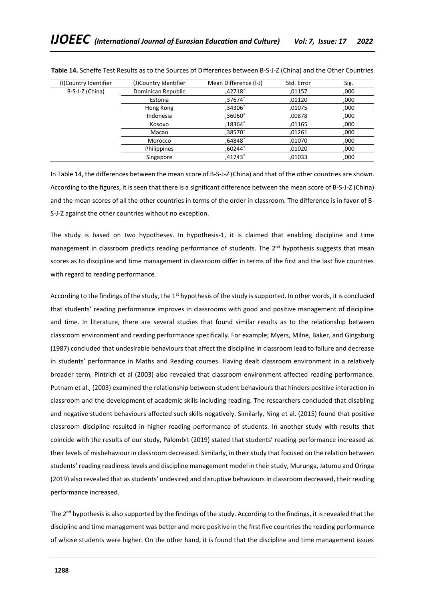| (I)Country Identifier | (J)Country Identifier | Mean Difference (I-J) | Std. Error | Sig. |
|-----------------------|-----------------------|-----------------------|------------|------|
| B-S-J-Z (China)       | Dominican Republic    | .42718*               | .01157     | ,000 |
|                       | Estonia               | ,37674*               | .01120     | ,000 |
|                       | Hong Kong             | ,34306*               | .01075     | ,000 |
|                       | Indonesia             | ,36060 $^*$           | ,00878     | ,000 |
|                       | Kosovo                | .18364*               | .01165     | ,000 |
|                       | Macao                 | ,38570 $*$            | .01261     | ,000 |
|                       | Morocco               | ,64848*               | .01070     | ,000 |
|                       | Philippines           | $.60244*$             | .01020     | ,000 |
|                       | Singapore             | $.41743*$             | .01033     | ,000 |

**Table 14.** Scheffe Test Results as to the Sources of Differences between B-S-J-Z (China) and the Other Countries

In Table 14, the differences between the mean score of B-S-J-Z (China) and that of the other countries are shown. According to the figures, it is seen that there is a significant difference between the mean score of B-S-J-Z (China) and the mean scores of all the other countries in terms of the order in classroom. The difference is in favor of B-S-J-Z against the other countries without no exception.

The study is based on two hypotheses. In hypothesis-1, it is claimed that enabling discipline and time management in classroom predicts reading performance of students. The  $2<sup>nd</sup>$  hypothesis suggests that mean scores as to discipline and time management in classroom differ in terms of the first and the last five countries with regard to reading performance.

According to the findings of the study, the 1<sup>st</sup> hypothesis of the study is supported. In other words, it is concluded that students' reading performance improves in classrooms with good and positive management of discipline and time. In literature, there are several studies that found similar results as to the relationship between classroom environment and reading performance specifically. For example; Myers, Milne, Baker, and Gingsburg (1987) concluded that undesirable behaviours that affect the discipline in classroom lead to failure and decrease in students' performance in Maths and Reading courses. Having dealt classroom environment in a relatively broader term, Pintrich et al (2003) also revealed that classroom environment affected reading performance. Putnam et al., (2003) examined the relationship between student behaviours that hinders positive interaction in classroom and the development of academic skills including reading. The researchers concluded that disabling and negative student behaviours affected such skills negatively. Similarly, Ning et al. (2015) found that positive classroom discipline resulted in higher reading performance of students. In another study with results that coincide with the results of our study, Palombit (2019) stated that students' reading performance increased as their levels of misbehaviour in classroom decreased. Similarly, in their study that focused on the relation between students' reading readiness levels and discipline management model in their study, Murunga, Jatumu and Oringa (2019) also revealed that as students' undesired and disruptive behaviours in classroom decreased, their reading performance increased.

The  $2^{nd}$  hypothesis is also supported by the findings of the study. According to the findings, it is revealed that the discipline and time management was better and more positive in the first five countries the reading performance of whose students were higher. On the other hand, it is found that the discipline and time management issues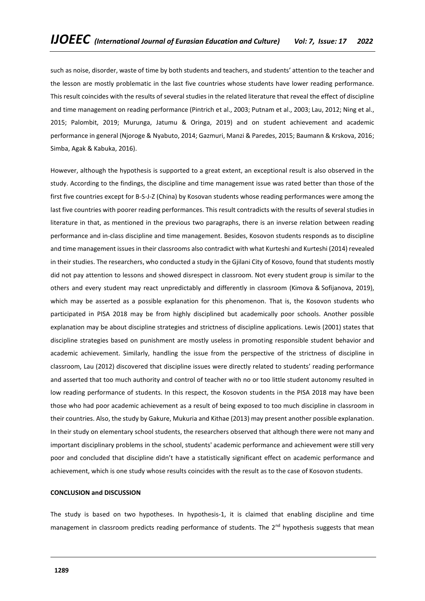such as noise, disorder, waste of time by both students and teachers, and students' attention to the teacher and the lesson are mostly problematic in the last five countries whose students have lower reading performance. This result coincides with the results of several studies in the related literature that reveal the effect of discipline and time management on reading performance (Pintrich et al., 2003; Putnam et al., 2003; Lau, 2012; Ning et al., 2015; Palombit, 2019; Murunga, Jatumu & Oringa, 2019) and on student achievement and academic performance in general (Njoroge & Nyabuto, 2014; Gazmuri, Manzi & Paredes, 2015; Baumann & Krskova, 2016; Simba, Agak & Kabuka, 2016).

However, although the hypothesis is supported to a great extent, an exceptional result is also observed in the study. According to the findings, the discipline and time management issue was rated better than those of the first five countries except for B-S-J-Z (China) by Kosovan students whose reading performances were among the last five countries with poorer reading performances. This result contradicts with the results of several studies in literature in that, as mentioned in the previous two paragraphs, there is an inverse relation between reading performance and in-class discipline and time management. Besides, Kosovon students responds as to discipline and time management issues in their classrooms also contradict with what Kurteshi and Kurteshi (2014) revealed in their studies. The researchers, who conducted a study in the Gjilani City of Kosovo, found that students mostly did not pay attention to lessons and showed disrespect in classroom. Not every student group is similar to the others and every student may react unpredictably and differently in classroom (Kimova & Sofijanova, 2019), which may be asserted as a possible explanation for this phenomenon. That is, the Kosovon students who participated in PISA 2018 may be from highly disciplined but academically poor schools. Another possible explanation may be about discipline strategies and strictness of discipline applications. Lewis (2001) states that discipline strategies based on punishment are mostly useless in promoting responsible student behavior and academic achievement. Similarly, handling the issue from the perspective of the strictness of discipline in classroom, Lau (2012) discovered that discipline issues were directly related to students' reading performance and asserted that too much authority and control of teacher with no or too little student autonomy resulted in low reading performance of students. In this respect, the Kosovon students in the PISA 2018 may have been those who had poor academic achievement as a result of being exposed to too much discipline in classroom in their countries. Also, the study by Gakure, Mukuria and Kithae (2013) may present another possible explanation. In their study on elementary school students, the researchers observed that although there were not many and important disciplinary problems in the school, students' academic performance and achievement were still very poor and concluded that discipline didn't have a statistically significant effect on academic performance and achievement, which is one study whose results coincides with the result as to the case of Kosovon students.

## **CONCLUSION and DISCUSSION**

The study is based on two hypotheses. In hypothesis-1, it is claimed that enabling discipline and time management in classroom predicts reading performance of students. The  $2<sup>nd</sup>$  hypothesis suggests that mean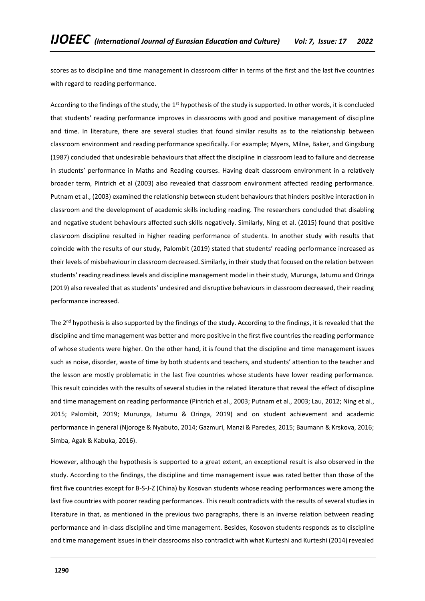scores as to discipline and time management in classroom differ in terms of the first and the last five countries with regard to reading performance.

According to the findings of the study, the 1<sup>st</sup> hypothesis of the study is supported. In other words, it is concluded that students' reading performance improves in classrooms with good and positive management of discipline and time. In literature, there are several studies that found similar results as to the relationship between classroom environment and reading performance specifically. For example; Myers, Milne, Baker, and Gingsburg (1987) concluded that undesirable behaviours that affect the discipline in classroom lead to failure and decrease in students' performance in Maths and Reading courses. Having dealt classroom environment in a relatively broader term, Pintrich et al (2003) also revealed that classroom environment affected reading performance. Putnam et al., (2003) examined the relationship between student behaviours that hinders positive interaction in classroom and the development of academic skills including reading. The researchers concluded that disabling and negative student behaviours affected such skills negatively. Similarly, Ning et al. (2015) found that positive classroom discipline resulted in higher reading performance of students. In another study with results that coincide with the results of our study, Palombit (2019) stated that students' reading performance increased as their levels of misbehaviour in classroom decreased. Similarly, in their study that focused on the relation between students' reading readiness levels and discipline management model in their study, Murunga, Jatumu and Oringa (2019) also revealed that as students' undesired and disruptive behaviours in classroom decreased, their reading performance increased.

The  $2^{nd}$  hypothesis is also supported by the findings of the study. According to the findings, it is revealed that the discipline and time management was better and more positive in the first five countries the reading performance of whose students were higher. On the other hand, it is found that the discipline and time management issues such as noise, disorder, waste of time by both students and teachers, and students' attention to the teacher and the lesson are mostly problematic in the last five countries whose students have lower reading performance. This result coincides with the results of several studies in the related literature that reveal the effect of discipline and time management on reading performance (Pintrich et al., 2003; Putnam et al., 2003; Lau, 2012; Ning et al., 2015; Palombit, 2019; Murunga, Jatumu & Oringa, 2019) and on student achievement and academic performance in general (Njoroge & Nyabuto, 2014; Gazmuri, Manzi & Paredes, 2015; Baumann & Krskova, 2016; Simba, Agak & Kabuka, 2016).

However, although the hypothesis is supported to a great extent, an exceptional result is also observed in the study. According to the findings, the discipline and time management issue was rated better than those of the first five countries except for B-S-J-Z (China) by Kosovan students whose reading performances were among the last five countries with poorer reading performances. This result contradicts with the results of several studies in literature in that, as mentioned in the previous two paragraphs, there is an inverse relation between reading performance and in-class discipline and time management. Besides, Kosovon students responds as to discipline and time management issues in their classrooms also contradict with what Kurteshi and Kurteshi (2014) revealed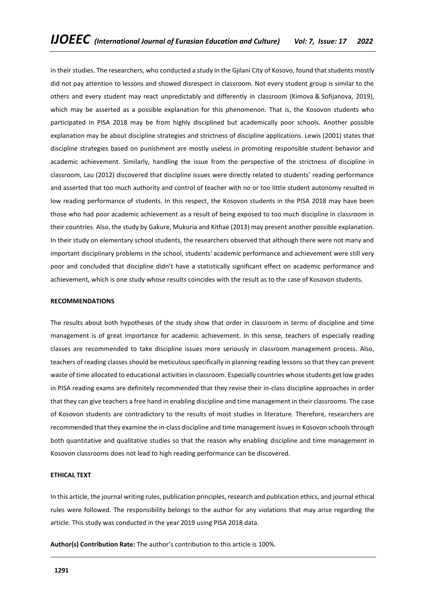in their studies. The researchers, who conducted a study in the Gjilani City of Kosovo, found that students mostly did not pay attention to lessons and showed disrespect in classroom. Not every student group is similar to the others and every student may react unpredictably and differently in classroom (Kimova & Sofijanova, 2019), which may be asserted as a possible explanation for this phenomenon. That is, the Kosovon students who participated in PISA 2018 may be from highly disciplined but academically poor schools. Another possible explanation may be about discipline strategies and strictness of discipline applications. Lewis (2001) states that discipline strategies based on punishment are mostly useless in promoting responsible student behavior and academic achievement. Similarly, handling the issue from the perspective of the strictness of discipline in classroom, Lau (2012) discovered that discipline issues were directly related to students' reading performance and asserted that too much authority and control of teacher with no or too little student autonomy resulted in low reading performance of students. In this respect, the Kosovon students in the PISA 2018 may have been those who had poor academic achievement as a result of being exposed to too much discipline in classroom in their countries. Also, the study by Gakure, Mukuria and Kithae (2013) may present another possible explanation. In their study on elementary school students, the researchers observed that although there were not many and important disciplinary problems in the school, students' academic performance and achievement were still very poor and concluded that discipline didn't have a statistically significant effect on academic performance and achievement, which is one study whose results coincides with the result as to the case of Kosovon students.

## **RECOMMENDATIONS**

The results about both hypotheses of the study show that order in classroom in terms of discipline and time management is of great importance for academic achievement. In this sense, teachers of especially reading classes are recommended to take discipline issues more seriously in classroom management process. Also, teachers of reading classes should be meticulous specifically in planning reading lessons so that they can prevent waste of time allocated to educational activities in classroom. Especially countries whose students get low grades in PISA reading exams are definitely recommended that they revise their in-class discipline approaches in order that they can give teachers a free hand in enabling discipline and time management in their classrooms. The case of Kosovon students are contradictory to the results of most studies in literature. Therefore, researchers are recommended that they examine the in-class discipline and time management issues in Kosovon schools through both quantitative and qualitative studies so that the reason why enabling discipline and time management in Kosovon classrooms does not lead to high reading performance can be discovered.

## **ETHICAL TEXT**

In this article, the journal writing rules, publication principles, research and publication ethics, and journal ethical rules were followed. The responsibility belongs to the author for any violations that may arise regarding the article. This study was conducted in the year 2019 using PISA 2018 data.

**Author(s) Contribution Rate:** The author's contribution to this article is 100%.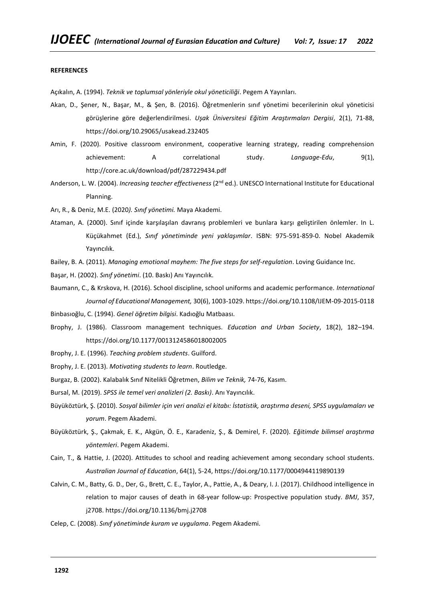#### **REFERENCES**

Açıkalın, A. (1994). *Teknik ve toplumsal yönleriyle okul yöneticiliği*. Pegem A Yayınları.

- Akan, D., Şener, N., Başar, M., & Şen, B. (2016). Öğretmenlerin sınıf yönetimi becerilerinin okul yöneticisi görüşlerine göre değerlendirilmesi. *Uşak Üniversitesi Eğitim Araştırmaları Dergisi*, 2(1), 71-88, <https://doi.org/10.29065/usakead.232405>
- Amin, F. (2020). Positive classroom environment, cooperative learning strategy, reading comprehension achievement: A correlational study. *Language-Edu*, 9(1), http://core.ac.uk/download/pdf/287229434.pdf
- Anderson, L. W. (2004). *Increasing teacher effectiveness* (2<sup>nd</sup> ed.). UNESCO International Institute for Educational Planning.

Arı, R., & Deniz, M.E. (2020*). Sınıf yönetimi.* Maya Akademi.

- Ataman, A. (2000). Sınıf içinde karşılaşılan davranış problemleri ve bunlara karşı geliştirilen önlemler. In L. Küçükahmet (Ed.), *Sınıf yönetiminde yeni yaklaşımlar*. ISBN: 975-591-859-0. Nobel Akademik Yayıncılık.
- Bailey, B. A. (2011). *Managing emotional mayhem: The five steps for self-regulation*. Loving Guidance Inc.
- Başar, H. (2002). *Sınıf yönetimi*. (10. Baskı) Anı Yayıncılık.
- Baumann, C., & Krskova, H. (2016). School discipline, school uniforms and academic performance. *International Journal of Educational Management,* 30(6), 1003-1029. https://doi.org/10.1108/IJEM-09-2015-0118
- Binbasıoğlu, C. (1994). *Genel öğretim bilgisi*. Kadıoğlu Matbaası.
- Brophy, J. (1986). Classroom management techniques. *Education and Urban Society*, 18(2), 182–194. [https://doi.org/10.1177/0013124586018002005](https://doi.org/10.1177%2F0013124586018002005)
- Brophy, J. E. (1996). *Teaching problem students*. Guilford.
- Brophy, J. E. (2013). *Motivating students to learn*. Routledge.
- Burgaz, B. (2002). Kalabalık Sınıf Nitelikli Öğretmen, *Bilim ve Teknik,* 74-76, Kasım.
- Bursal, M. (2019). *SPSS ile temel veri analizleri (2. Baskı)*. Anı Yayıncılık.
- Büyüköztürk, Ş. (2010). *Sosyal bilimler için veri analizi el kitabı: İstatistik, araştırma deseni, SPSS uygulamaları ve yorum*. Pegem Akademi.
- Büyüköztürk, Ş., Çakmak, E. K., Akgün, Ö. E., Karadeniz, Ş., & Demirel, F. (2020). *Eğitimde bilimsel araştırma yöntemleri*. Pegem Akademi.
- Cain, T., & Hattie, J. (2020). Attitudes to school and reading achievement among secondary school students. *Australian Journal of Education*, 64(1), 5-24[, https://doi.org/10.1177/0004944119890139](https://doi.org/10.1177%2F0004944119890139)
- Calvin, C. M., Batty, G. D., Der, G., Brett, C. E., Taylor, A., Pattie, A., & Deary, I. J. (2017). Childhood intelligence in relation to major causes of death in 68-year follow-up: Prospective population study. *BMJ*, 357, j2708. https://doi.org/10.1136/bmj.j2708
- Celep, C. (2008). *Sınıf yönetiminde kuram ve uygulama*. Pegem Akademi.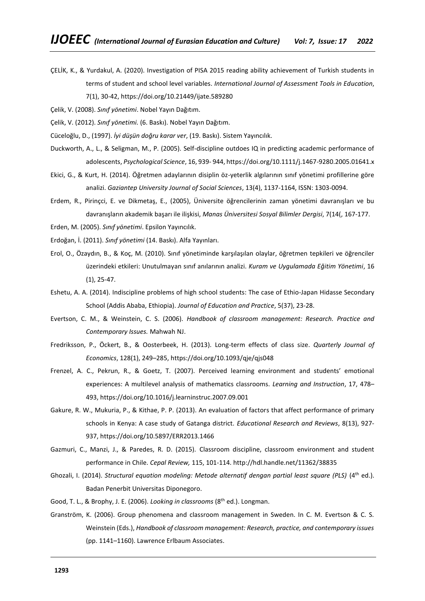- ÇELİK, K., & Yurdakul, A. (2020). Investigation of PISA 2015 reading ability achievement of Turkish students in terms of student and school level variables. *International Journal of Assessment Tools in Education*,
	- 7(1), 30-42[, https://doi.org/10.21449/ijate.589280](https://doi.org/10.21449/ijate.589280)
- Çelik, V. (2008). *Sınıf yönetimi*. Nobel Yayın Dağıtım.
- Çelik, V. (2012). *Sınıf yönetimi.* (6. Baskı). Nobel Yayın Dağıtım.
- Cüceloğlu, D., (1997). *İyi düşün doğru karar ver*, (19. Baskı). Sistem Yayıncılık.
- Duckworth, A., L., & Seligman, M., P. (2005). Self-discipline outdoes IQ in predicting academic performance of adolescents, *Psychological Science*, 16, 939- 944[, https://doi.org/10.1111/j.1467-9280.2005.01641.x](https://doi.org/10.1111%2Fj.1467-9280.2005.01641.x)
- Ekici, G., & Kurt, H. (2014). Öğretmen adaylarının disiplin öz-yeterlik algılarının sınıf yönetimi profillerine göre analizi. *Gaziantep University Journal of Social Sciences*, 13(4), 1137-1164, ISSN: 1303-0094.
- Erdem, R., Pirinçci, E. ve Dikmetaş, E., (2005), Üniversite öğrencilerinin zaman yönetimi davranışları ve bu davranışların akademik başarı ile ilişkisi, *Manas Üniversitesi Sosyal Bilimler Dergisi*, 7(14(, 167-177.
- Erden, M. (2005). *Sınıf yönetimi*. Epsilon Yayıncılık.
- Erdoğan, İ. (2011). *Sınıf yönetimi* (14. Baskı). Alfa Yayınları.
- Erol, O., Özaydın, B., & Koç, M. (2010). Sınıf yönetiminde karşılaşılan olaylar, öğretmen tepkileri ve öğrenciler üzerindeki etkileri: Unutulmayan sınıf anılarının analizi. *Kuram ve Uygulamada Eğitim Yönetimi*, 16 (1), 25-47.
- Eshetu, A. A. (2014). Indiscipline problems of high school students: The case of Ethio-Japan Hidasse Secondary School (Addis Ababa, Ethiopia). *Journal of Education and Practice*, 5(37), 23-28.
- Evertson, C. M., & Weinstein, C. S. (2006). *Handbook of classroom management: Research. Practice and Contemporary Issues.* Mahwah NJ.
- Fredriksson, P., Öckert, B., & Oosterbeek, H. (2013). Long-term effects of class size. *Quarterly Journal of Economics*, 128(1), 249–285,<https://doi.org/10.1093/qje/qjs048>
- Frenzel, A. C., Pekrun, R., & Goetz, T. (2007). Perceived learning environment and students' emotional experiences: A multilevel analysis of mathematics classrooms. *Learning and Instruction*, 17, 478– 493[, https://doi.org/10.1016/j.learninstruc.2007.09.001](https://doi.org/10.1016/j.learninstruc.2007.09.001)
- Gakure, R. W., Mukuria, P., & Kithae, P. P. (2013). An evaluation of factors that affect performance of primary schools in Kenya: A case study of Gatanga district. *Educational Research and Reviews*, 8(13), 927- 937[, https://doi.org/10.5897/ERR2013.1466](https://doi.org/10.5897/ERR2013.1466)
- Gazmuri, C., Manzi, J., & Paredes, R. D. (2015). Classroom discipline, classroom environment and student performance in Chile. *Cepal Review,* 115, 101-114.<http://hdl.handle.net/11362/38835>
- Ghozali, I. (2014). *Structural equation modeling: Metode alternatif dengan partial least square (PLS)* (4th ed.). Badan Penerbit Universitas Diponegoro.
- Good, T. L., & Brophy, J. E. (2006). *Looking in classrooms* (8th ed.). Longman.
- Granström, K. (2006). Group phenomena and classroom management in Sweden. In C. M. Evertson & C. S. Weinstein (Eds.), *Handbook of classroom management: Research, practice, and contemporary issues* (pp. 1141–1160). Lawrence Erlbaum Associates.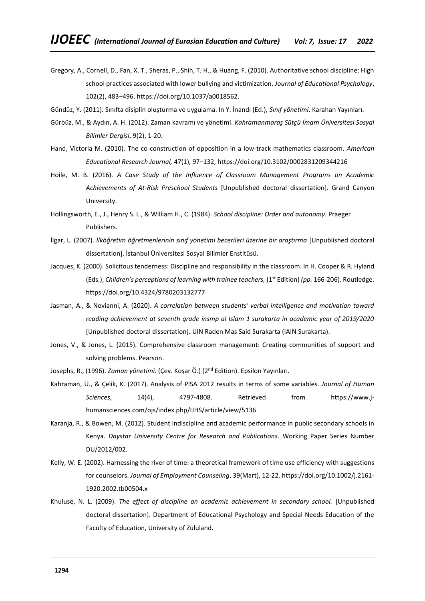- Gregory, A., Cornell, D., Fan, X. T., Sheras, P., Shih, T. H., & Huang, F. (2010). Authoritative school discipline: High school practices associated with lower bullying and victimization. *Journal of Educational Psychology*, 102(2), 483–496. [https://doi.org/10.1037/a0018562.](https://doi.org/10.1037/a0018562)
- Gündüz, Y. (2011). Sınıfta disiplin oluşturma ve uygulama. In Y. İnandı (Ed.), *Sınıf yönetimi*. Karahan Yayınları.
- Gürbüz, M., & Aydın, A. H. (2012). Zaman kavramı ve yönetimi. *Kahramanmaraş Sütçü İmam Üniversitesi Sosyal Bilimler Dergisi*, 9(2), 1-20.
- Hand, Victoria M. (2010). The co-construction of opposition in a low-track mathematics classroom. *American Educational Research Journal,* 47(1), 97–132, [https://doi.org/10.3102/0002831209344216](https://doi.org/10.3102%2F0002831209344216)
- Hoile, M. B. (2016). *A Case Study of the Influence of Classroom Management Programs on Academic Achievements of At-Risk Preschool Students* [Unpublished doctoral dissertation]. Grand Canyon University.
- Hollingsworth, E., J., Henry S. L., & William H., C. (1984). *School discipline: Order and autonomy*. Praeger Publishers.
- İlgar, L. (2007). *İlköğretim öğretmenlerinin sınıf yönetimi becerileri üzerine bir araştırma* [Unpublished doctoral dissertation]. İstanbul Üniversitesi Sosyal Bilimler Enstitüsü.
- Jacques, K. (2000). Solicitous tenderness: Discipline and responsibility in the classroom. In H. Cooper & R. Hyland (Eds.), *Children's perceptions of learning with trainee teachers,* (1st Edition) *(pp.* 166-206). Routledge. <https://doi.org/10.4324/9780203132777>
- Jasman, A., & Novianni, A. (2020). *A correlation between students' verbal intelligence and motivation toward reading achievement at seventh grade insmp al Islam 1 surakarta in academic year of 2019/2020*  [Unpublished doctoral dissertation]. UIN Raden Mas Said Surakarta (IAIN Surakarta).
- Jones, V., & Jones, L. (2015). Comprehensive classroom management: Creating communities of support and solving problems. Pearson.
- Josephs, R., (1996). *Zaman yönetimi*. (Çev. Koşar Ö.) (2nd Edition). Epsilon Yayınları.
- Kahraman, Ü., & Çelik, K. (2017). Analysis of PISA 2012 results in terms of some variables. *Journal of Human Sciences*, 14(4), 4797-4808. Retrieved from https://www.jhumansciences.com/ojs/index.php/IJHS/article/view/5136
- Karanja, R., & Bowen, M. (2012). Student indiscipline and academic performance in public secondary schools in Kenya. *Daystar University Centre for Research and Publications*. Working Paper Series Number DU/2012/002.
- Kelly, W. E. (2002). Harnessing the river of time: a theoretical framework of time use efficiency with suggestions for counselors. *Journal of Employment Counseling*, 39(Mart), 12-22. [https://doi.org/10.1002/j.2161-](https://doi.org/10.1002/j.2161-1920.2002.tb00504.x) [1920.2002.tb00504.x](https://doi.org/10.1002/j.2161-1920.2002.tb00504.x)
- Khuluse, N. L. (2009). *The effect of discipline on academic achievement in secondary school.* [Unpublished doctoral dissertation]. Department of Educational Psychology and Special Needs Education of the Faculty of Education, University of Zululand.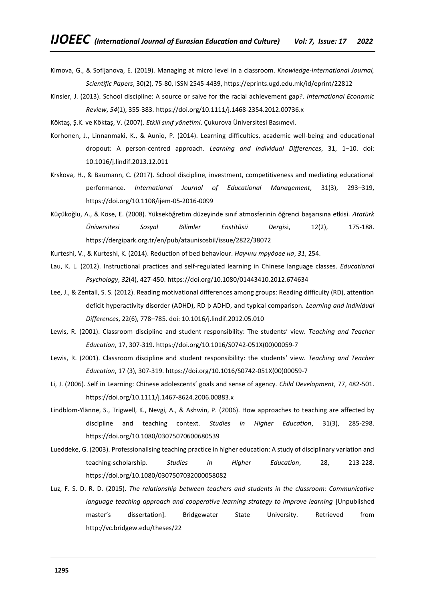- Kimova, G., & Sofijanova, E. (2019). Managing at micro level in a classroom. *Knowledge-International Journal, Scientific Papers*, 30(2), 75-80, ISSN 2545-4439,<https://eprints.ugd.edu.mk/id/eprint/22812>
- Kinsler, J. (2013). School discipline: A source or salve for the racial achievement gap?. *International Economic Review*, *54*(1), 355-383. <https://doi.org/10.1111/j.1468-2354.2012.00736.x>
- Köktaş, Ş.K. ve Köktaş, V. (2007). *Etkili sınıf yönetimi*. Çukurova Üniversitesi Basımevi.
- Korhonen, J., Linnanmaki, K., & Aunio, P. (2014). Learning difficulties, academic well-being and educational dropout: A person-centred approach. *Learning and Individual Differences*, 31, 1–10. doi: 10.1016/j.lindif.2013.12.011
- Krskova, H., & Baumann, C. (2017). School discipline, investment, competitiveness and mediating educational performance. *International Journal of Educational Management*, 31(3), 293–319, https://doi.org/10.1108/ijem-05-2016-0099
- Küçükoğlu, A., & Köse, E. (2008). Yükseköğretim düzeyinde sınıf atmosferinin öğrenci başarısına etkisi. *Atatürk Üniversitesi Sosyal Bilimler Enstitüsü Dergi*si, 12(2), 175-188. https://dergipark.org.tr/en/pub/ataunisosbil/issue/2822/38072
- Kurteshi, V., & Kurteshi, K. (2014). Reduction of bed behaviour. *Научни трудове на*, *31*, 254.
- Lau, K. L. (2012). Instructional practices and self-regulated learning in Chinese language classes. *Educational Psychology*, *32*(4), 427-450. <https://doi.org/10.1080/01443410.2012.674634>
- Lee, J., & Zentall, S. S. (2012). Reading motivational differences among groups: Reading difficulty (RD), attention deficit hyperactivity disorder (ADHD), RD þ ADHD, and typical comparison. *Learning and Individual Differences*, 22(6), 778–785. doi: 10.1016/j.lindif.2012.05.010
- Lewis, R. (2001). Classroom discipline and student responsibility: The students' view. *Teaching and Teacher Education*, 17, 307-319. [https://doi.org/10.1016/S0742-051X\(00\)00059-7](https://doi.org/10.1016/S0742-051X(00)00059-7)
- Lewis, R. (2001). Classroom discipline and student responsibility: the students' view. *Teaching and Teacher Education*, 17 (3), 307-319. [https://doi.org/10.1016/S0742-051X\(00\)00059-7](https://doi.org/10.1016/S0742-051X(00)00059-7)
- Li, J. (2006). Self in Learning: Chinese adolescents' goals and sense of agency. *Child Development*, 77, 482-501. <https://doi.org/10.1111/j.1467-8624.2006.00883.x>
- Lindblom‐Ylänne, S., Trigwell, K., Nevgi, A., & Ashwin, P. (2006). How approaches to teaching are affected by discipline and teaching context. *Studies in Higher Education*, 31(3), 285-298. <https://doi.org/10.1080/03075070600680539>
- Lueddeke, G. (2003). Professionalising teaching practice in higher education: A study of disciplinary variation and teaching-scholarship. *Studies in Higher Education*, 28, 213-228. <https://doi.org/10.1080/0307507032000058082>
- Luz, F. S. D. R. D. (2015). *The relationship between teachers and students in the classroom: Communicative language teaching approach and cooperative learning strategy to improve learning* [Unpublished master's dissertation]. Bridgewater State University. Retrieved from http://vc.bridgew.edu/theses/22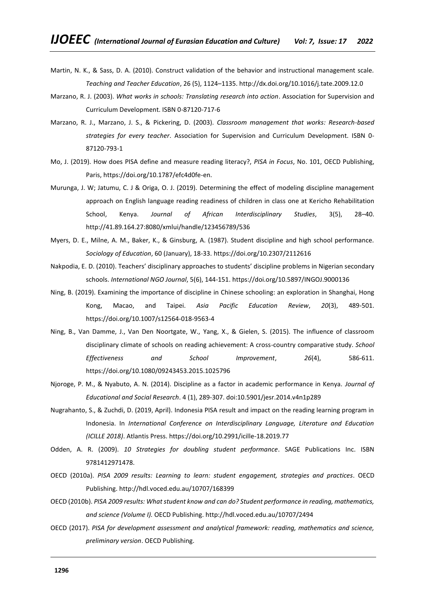- Martin, N. K., & Sass, D. A. (2010). Construct validation of the behavior and instructional management scale. *Teaching and Teacher Education*, 26 (5), 1124–1135. http://dx.doi.org/10.1016/j.tate.2009.12.0
- Marzano, R. J. (2003). *What works in schools: Translating research into action*. Association for Supervision and Curriculum Development. ISBN 0-87120-717-6
- Marzano, R. J., Marzano, J. S., & Pickering, D. (2003). *Classroom management that works: Research-based strategies for every teacher*. Association for Supervision and Curriculum Development. ISBN 0- 87120-793-1
- Mo, J. (2019). How does PISA define and measure reading literacy?, *PISA in Focus*, No. 101, OECD Publishing, Paris, https://doi.org/10.1787/efc4d0fe-en.
- Murunga, J. W; Jatumu, C. J & Origa, O. J. (2019). Determining the effect of modeling discipline management approach on English language reading readiness of children in class one at Kericho Rehabilitation School, Kenya. *Journal of African Interdisciplinary Studies*, 3(5), 28–40. <http://41.89.164.27:8080/xmlui/handle/123456789/536>
- Myers, D. E., Milne, A. M., Baker, K., & Ginsburg, A. (1987). Student discipline and high school performance. *Sociology of Education*, 60 (January), 18-33. <https://doi.org/10.2307/2112616>
- Nakpodia, E. D. (2010). Teachers' disciplinary approaches to students' discipline problems in Nigerian secondary schools. *International NGO Journal*, 5(6), 144-151[. https://doi.org/10.5897/INGOJ.9000136](https://doi.org/10.5897/INGOJ.9000136)
- Ning, B. (2019). Examining the importance of discipline in Chinese schooling: an exploration in Shanghai, Hong Kong, Macao, and Taipei. *Asia Pacific Education Review*, *20*(3), 489-501. <https://doi.org/10.1007/s12564-018-9563-4>
- Ning, B., Van Damme, J., Van Den Noortgate, W., Yang, X., & Gielen, S. (2015). The influence of classroom disciplinary climate of schools on reading achievement: A cross-country comparative study. *School Effectiveness and School Improvement*, *26*(4), 586-611. <https://doi.org/10.1080/09243453.2015.1025796>
- Njoroge, P. M., & Nyabuto, A. N. (2014). Discipline as a factor in academic performance in Kenya. *Journal of Educational and Social Research*. 4 (1), 289-307. doi:10.5901/jesr.2014.v4n1p289
- Nugrahanto, S., & Zuchdi, D. (2019, April). Indonesia PISA result and impact on the reading learning program in Indonesia. In *International Conference on Interdisciplinary Language, Literature and Education (ICILLE 2018)*. Atlantis Press. [https://doi.org/10.2991/icille-18.2019.77](https://dx.doi.org/10.2991/icille-18.2019.77)
- Odden, A. R. (2009). *10 Strategies for doubling student performance*. SAGE Publications Inc. ISBN 9781412971478.
- OECD (2010a). *PISA 2009 results: Learning to learn: student engagement, strategies and practices*. OECD Publishing.<http://hdl.voced.edu.au/10707/168399>
- OECD (2010b). *PISA 2009 results: What student know and can do? Student performance in reading, mathematics, and science (Volume I).* OECD Publishing.<http://hdl.voced.edu.au/10707/2494>
- OECD (2017). *PISA for development assessment and analytical framework: reading, mathematics and science, preliminary version*. OECD Publishing.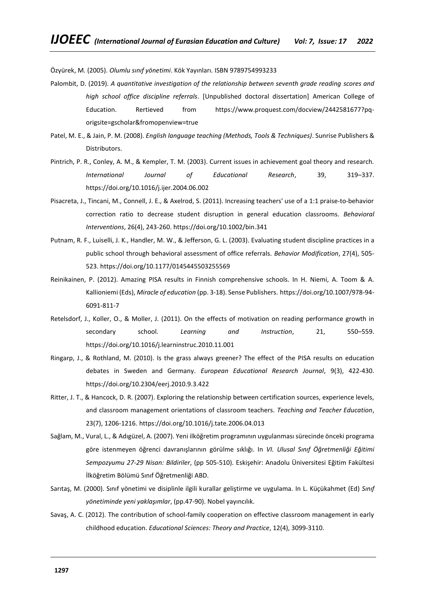Özyürek, M. (2005). *Olumlu sınıf yönetimi*. Kök Yayınları. ISBN 9789754993233

- Palombit, D. (2019). *A quantitative investigation of the relationship between seventh grade reading scores and high school office discipline referrals*. [Unpublished doctoral dissertation] American College of Education. Rertieved from https://www.proquest.com/docview/2442581677?pqorigsite=gscholar&fromopenview=true
- Patel, M. E., & Jain, P. M. (2008). *English language teaching (Methods, Tools & Techniques)*. Sunrise Publishers & Distributors.
- Pintrich, P. R., Conley, A. M., & Kempler, T. M. (2003). Current issues in achievement goal theory and research. *International Journal of Educational Research*, 39, 319–337. <https://doi.org/10.1016/j.ijer.2004.06.002>
- Pisacreta, J., Tincani, M., Connell, J. E., & Axelrod, S. (2011). Increasing teachers' use of a 1:1 praise‐to‐behavior correction ratio to decrease student disruption in general education classrooms. *Behavioral Interventions*, 26(4), 243-260.<https://doi.org/10.1002/bin.341>
- Putnam, R. F., Luiselli, J. K., Handler, M. W., & Jefferson, G. L. (2003). Evaluating student discipline practices in a public school through behavioral assessment of office referrals. *Behavior Modification*, 27(4), 505- 523[. https://doi.org/10.1177/0145445503255569](https://doi.org/10.1177%2F0145445503255569)
- Reinikainen, P. (2012). Amazing PISA results in Finnish comprehensive schools. In H. Niemi, A. Toom & A. Kallioniemi (Eds), *Miracle of education* (pp. 3-18). Sense Publishers. https://doi.org/10.1007/978-94- 6091-811-7
- Retelsdorf, J., Koller, O., & Moller, J. (2011). On the effects of motivation on reading performance growth in secondary school. *Learning and Instruction*, 21, 550–559. <https://doi.org/10.1016/j.learninstruc.2010.11.001>
- Ringarp, J., & Rothland, M. (2010). Is the grass always greener? The effect of the PISA results on education debates in Sweden and Germany. *European Educational Research Journal*, 9(3), 422-430. [https://doi.org/10.2304/eerj.2010.9.3.422](https://doi.org/10.2304%2Feerj.2010.9.3.422)
- Ritter, J. T., & Hancock, D. R. (2007). Exploring the relationship between certification sources, experience levels, and classroom management orientations of classroom teachers. *Teaching and Teacher Education*, 23(7), 1206-1216. <https://doi.org/10.1016/j.tate.2006.04.013>
- Sağlam, M., Vural, L., & Adıgüzel, A. (2007). Yeni ilköğretim programının uygulanması sürecinde önceki programa göre istenmeyen öğrenci davranışlarının görülme sıklığı. In *VI. Ulusal Sınıf Öğretmenliği Eğitimi Sempozyumu 27-29 Nisan: Bildiriler*, (pp 505-510). Eskişehir: Anadolu Üniversitesi Eğitim Fakültesi İlköğretim Bölümü Sınıf Öğretmenliği ABD.
- Sarıtaş, M. (2000). Sınıf yönetimi ve disiplinle ilgili kurallar geliştirme ve uygulama. In L. Küçükahmet (Ed) *Sınıf yönetiminde yeni yaklaşımlar*, (pp.47-90). Nobel yayıncılık.
- Savaş, A. C. (2012). The contribution of school-family cooperation on effective classroom management in early childhood education. *Educational Sciences: Theory and Practice*, 12(4), 3099-3110.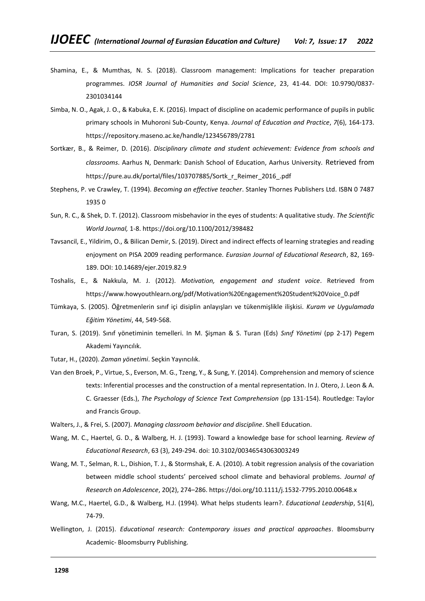- Shamina, E., & Mumthas, N. S. (2018). Classroom management: Implications for teacher preparation programmes. *IOSR Journal of Humanities and Social Science*, 23, 41-44. DOI: 10.9790/0837- 2301034144
- Simba, N. O., Agak, J. O., & Kabuka, E. K. (2016). Impact of discipline on academic performance of pupils in public primary schools in Muhoroni Sub-County, Kenya. *Journal of Education and Practice*, *7*(6), 164-173. <https://repository.maseno.ac.ke/handle/123456789/2781>
- Sortkær, B., & Reimer, D. (2016). *Disciplinary climate and student achievement: Evidence from schools and classrooms*. Aarhus N, Denmark: Danish School of Education, Aarhus University. Retrieved from https://pure.au.dk/portal/files/103707885/Sortk\_r\_Reimer\_2016\_.pdf
- Stephens, P. ve Crawley, T. (1994). *Becoming an effective teacher*. Stanley Thornes Publishers Ltd. ISBN 0 7487 1935 0
- Sun, R. C., & Shek, D. T. (2012). Classroom misbehavior in the eyes of students: A qualitative study. *The Scientific World Journal,* 1-8. <https://doi.org/10.1100/2012/398482>
- Tavsancil, E., Yildirim, O., & Bilican Demir, S. (2019). Direct and indirect effects of learning strategies and reading enjoyment on PISA 2009 reading performance. *Eurasian Journal of Educational Research*, 82, 169- 189. DOI: 10.14689/ejer.2019.82.9
- Toshalis, E., & Nakkula, M. J. (2012). *Motivation, engagement and student voice*. Retrieved from https://www.howyouthlearn.org/pdf/Motivation%20Engagement%20Student%20Voice\_0.pdf
- Tümkaya, S. (2005). Öğretmenlerin sınıf içi disiplin anlayışları ve tükenmişlikle ilişkisi. *Kuram ve Uygulamada Eğitim Yönetimi*, 44, 549-568.
- Turan, S. (2019). Sınıf yönetiminin temelleri. In M. Şişman & S. Turan (Eds) *Sınıf Yönetimi* (pp 2-17) Pegem Akademi Yayıncılık.
- Tutar, H., (2020). *Zaman yönetimi*. Seçkin Yayıncılık.
- Van den Broek, P., Virtue, S., Everson, M. G., Tzeng, Y., & Sung, Y. (2014). Comprehension and memory of science texts: Inferential processes and the construction of a mental representation. In J. Otero, J. Leon & A. C. Graesser (Eds.), *The Psychology of Science Text Comprehension* (pp 131-154). Routledge: Taylor and Francis Group.
- Walters, J., & Frei, S. (2007). *Managing classroom behavior and discipline*. Shell Education.
- Wang, M. C., Haertel, G. D., & Walberg, H. J. (1993). Toward a knowledge base for school learning. *Review of Educational Research*, 63 (3), 249-294. doi: 10.3102/00346543063003249
- Wang, M. T., Selman, R. L., Dishion, T. J., & Stormshak, E. A. (2010). A tobit regression analysis of the covariation between middle school students' perceived school climate and behavioral problems. *Journal of Research on Adolescence*, 20(2), 274–286.<https://doi.org/10.1111/j.1532-7795.2010.00648.x>
- Wang, M.C., Haertel, G.D., & Walberg, H.J. (1994). What helps students learn?. *Educational Leadership*, 51(4), 74-79.
- Wellington, J. (2015). *Educational research: Contemporary issues and practical approaches*. Bloomsburry Academic- Bloomsburry Publishing.